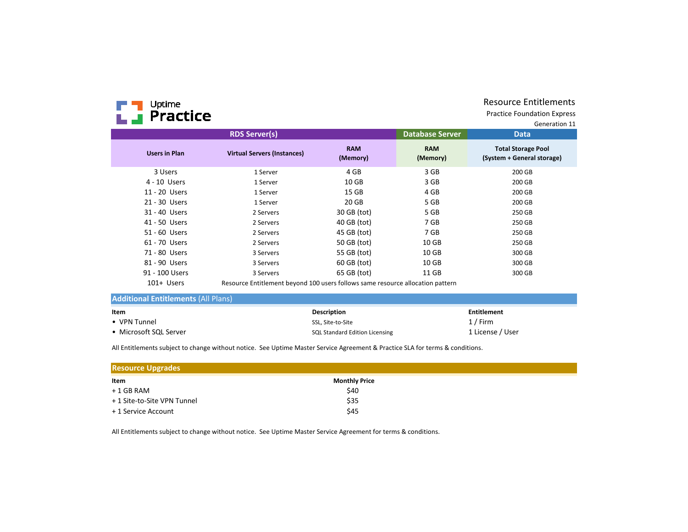# **FT** Uptime

# Resource Entitlements

Practice Foundation Express

|                      | <b>RDS Server(s)</b>                                                           |                        | <b>Database Server</b> | <b>Data</b>                                             |
|----------------------|--------------------------------------------------------------------------------|------------------------|------------------------|---------------------------------------------------------|
| <b>Users in Plan</b> | <b>Virtual Servers (Instances)</b>                                             | <b>RAM</b><br>(Memory) | <b>RAM</b><br>(Memory) | <b>Total Storage Pool</b><br>(System + General storage) |
| 3 Users              | 1 Server                                                                       | 4 GB                   | 3 GB                   | 200 GB                                                  |
| 4 - 10 Users         | 1 Server                                                                       | 10 <sub>GB</sub>       | 3 GB                   | 200 GB                                                  |
| 11 - 20 Users        | 1 Server                                                                       | 15 GB                  | 4 GB                   | 200 GB                                                  |
| 21 - 30 Users        | 1 Server                                                                       | 20 GB                  | 5 GB                   | 200 GB                                                  |
| 31 - 40 Users        | 2 Servers                                                                      | 30 GB (tot)            | 5 GB                   | 250 GB                                                  |
| 41 - 50 Users        | 2 Servers                                                                      | 40 GB (tot)            | 7 GB                   | 250 GB                                                  |
| 51 - 60 Users        | 2 Servers                                                                      | 45 GB (tot)            | 7 GB                   | 250 GB                                                  |
| 61 - 70 Users        | 2 Servers                                                                      | 50 GB (tot)            | 10 <sub>GB</sub>       | 250 GB                                                  |
| 71 - 80 Users        | 3 Servers                                                                      | 55 GB (tot)            | 10 <sub>GB</sub>       | 300 GB                                                  |
| 81 - 90 Users        | 3 Servers                                                                      | 60 GB (tot)            | 10 <sub>GB</sub>       | 300 GB                                                  |
| 91 - 100 Users       | 3 Servers                                                                      | 65 GB (tot)            | 11 GB                  | 300 GB                                                  |
| 101+ Users           | Resource Entitlement beyond 100 users follows same resource allocation pattern |                        |                        |                                                         |

| Item                   | <b>Description</b>                    | <b>Entitlement</b> |
|------------------------|---------------------------------------|--------------------|
| • VPN Tunnel           | SSL. Site-to-Site                     | 1 / Firm           |
| • Microsoft SQL Server | <b>SQL Standard Edition Licensing</b> | 1 License / User   |

All Entitlements subject to change without notice. See Uptime Master Service Agreement & Practice SLA for terms & conditions.

| <b>Resource Upgrades</b>    |                      |  |  |  |  |
|-----------------------------|----------------------|--|--|--|--|
| Item                        | <b>Monthly Price</b> |  |  |  |  |
| $+1$ GB RAM                 | \$40                 |  |  |  |  |
| + 1 Site-to-Site VPN Tunnel | \$35                 |  |  |  |  |
| + 1 Service Account         | \$45                 |  |  |  |  |

All Entitlements subject to change without notice. See Uptime Master Service Agreement for terms & conditions.